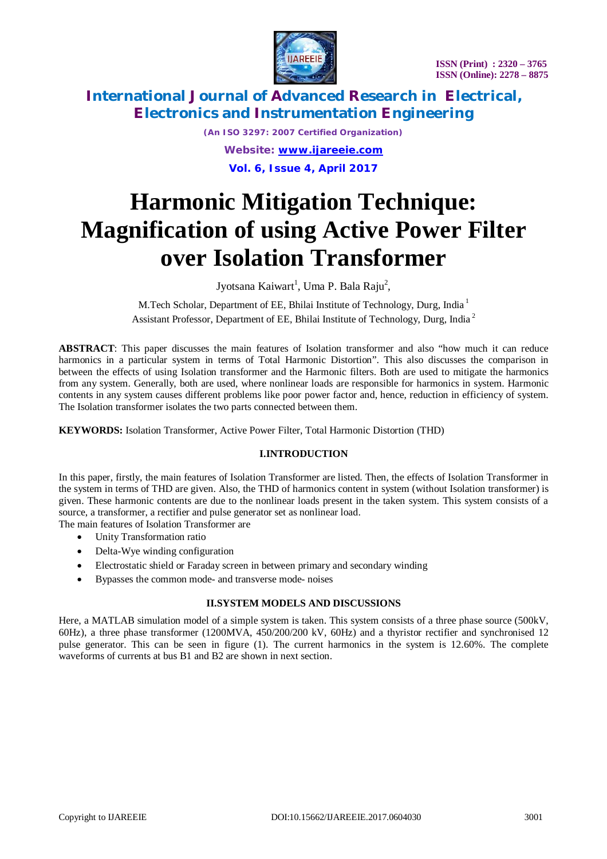

*(An ISO 3297: 2007 Certified Organization) Website: [www.ijareeie.com](http://www.ijareeie.com)* **Vol. 6, Issue 4, April 2017**

# **Harmonic Mitigation Technique: Magnification of using Active Power Filter over Isolation Transformer**

Jyotsana Kaiwart<sup>1</sup>, Uma P. Bala Raju<sup>2</sup>,

M.Tech Scholar, Department of EE, Bhilai Institute of Technology, Durg, India<sup>1</sup> Assistant Professor, Department of EE, Bhilai Institute of Technology, Durg, India <sup>2</sup>

**ABSTRACT**: This paper discusses the main features of Isolation transformer and also "how much it can reduce harmonics in a particular system in terms of Total Harmonic Distortion". This also discusses the comparison in between the effects of using Isolation transformer and the Harmonic filters. Both are used to mitigate the harmonics from any system. Generally, both are used, where nonlinear loads are responsible for harmonics in system. Harmonic contents in any system causes different problems like poor power factor and, hence, reduction in efficiency of system. The Isolation transformer isolates the two parts connected between them.

**KEYWORDS:** Isolation Transformer, Active Power Filter, Total Harmonic Distortion (THD)

### **I.INTRODUCTION**

In this paper, firstly, the main features of Isolation Transformer are listed. Then, the effects of Isolation Transformer in the system in terms of THD are given. Also, the THD of harmonics content in system (without Isolation transformer) is given. These harmonic contents are due to the nonlinear loads present in the taken system. This system consists of a source, a transformer, a rectifier and pulse generator set as nonlinear load.

The main features of Isolation Transformer are

- Unity Transformation ratio
- Delta-Wye winding configuration
- Electrostatic shield or Faraday screen in between primary and secondary winding
- Bypasses the common mode- and transverse mode- noises

#### **II.SYSTEM MODELS AND DISCUSSIONS**

Here, a MATLAB simulation model of a simple system is taken. This system consists of a three phase source (500kV, 60Hz), a three phase transformer (1200MVA, 450/200/200 kV, 60Hz) and a thyristor rectifier and synchronised 12 pulse generator. This can be seen in figure (1). The current harmonics in the system is 12.60%. The complete waveforms of currents at bus B1 and B2 are shown in next section.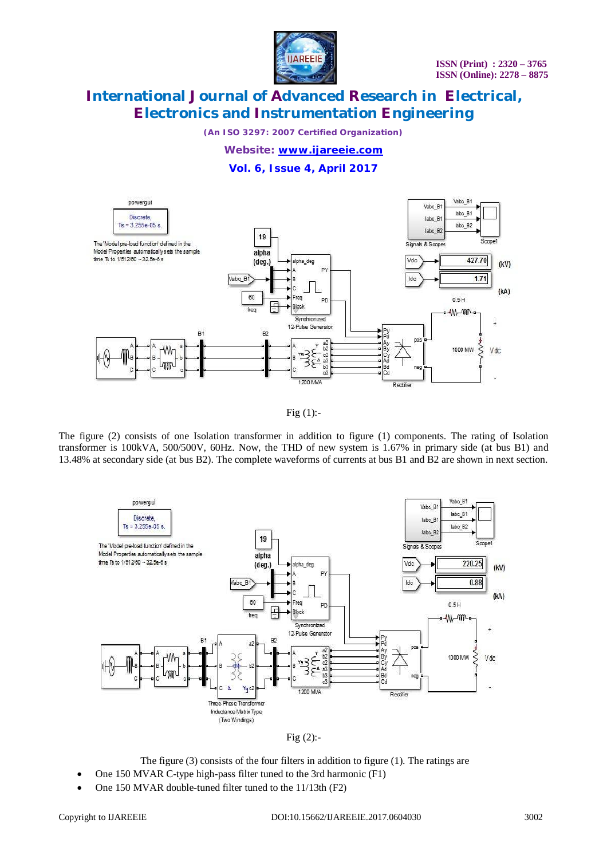

*(An ISO 3297: 2007 Certified Organization)*

*Website: [www.ijareeie.com](http://www.ijareeie.com)*

### **Vol. 6, Issue 4, April 2017**



Fig  $(1)$ :-

The figure (2) consists of one Isolation transformer in addition to figure (1) components. The rating of Isolation transformer is 100kVA, 500/500V, 60Hz. Now, the THD of new system is 1.67% in primary side (at bus B1) and 13.48% at secondary side (at bus B2). The complete waveforms of currents at bus B1 and B2 are shown in next section.





The figure (3) consists of the four filters in addition to figure (1). The ratings are

- One 150 MVAR C-type high-pass filter tuned to the 3rd harmonic (F1)
- One 150 MVAR double-tuned filter tuned to the 11/13th (F2)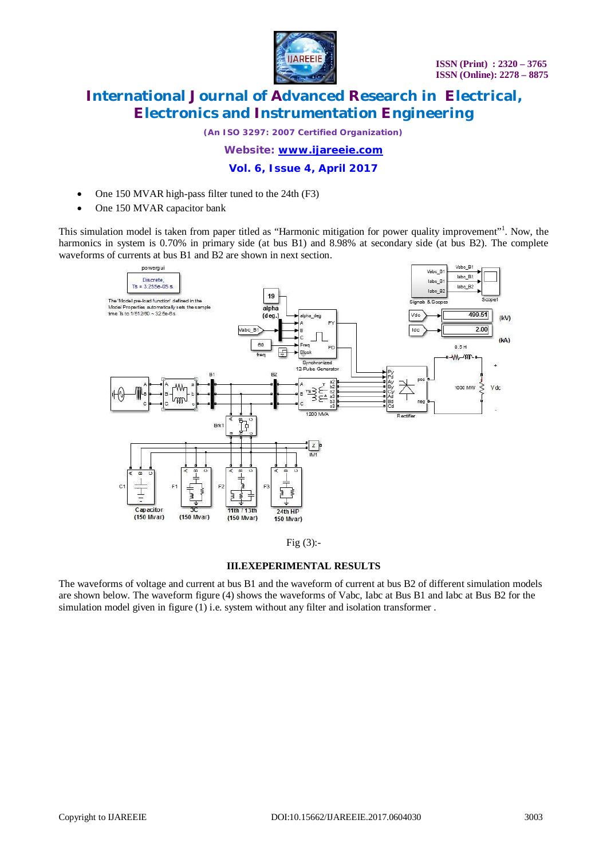

*(An ISO 3297: 2007 Certified Organization)*

*Website: [www.ijareeie.com](http://www.ijareeie.com)*

**Vol. 6, Issue 4, April 2017**

- One 150 MVAR high-pass filter tuned to the 24th (F3)
- One 150 MVAR capacitor bank

This simulation model is taken from paper titled as "Harmonic mitigation for power quality improvement"<sup>1</sup>. Now, the harmonics in system is 0.70% in primary side (at bus B1) and 8.98% at secondary side (at bus B2). The complete waveforms of currents at bus B1 and B2 are shown in next section.



Fig  $(3)$ :-

#### **III.EXEPERIMENTAL RESULTS**

The waveforms of voltage and current at bus B1 and the waveform of current at bus B2 of different simulation models are shown below. The waveform figure (4) shows the waveforms of Vabc, Iabc at Bus B1 and Iabc at Bus B2 for the simulation model given in figure  $(1)$  i.e. system without any filter and isolation transformer.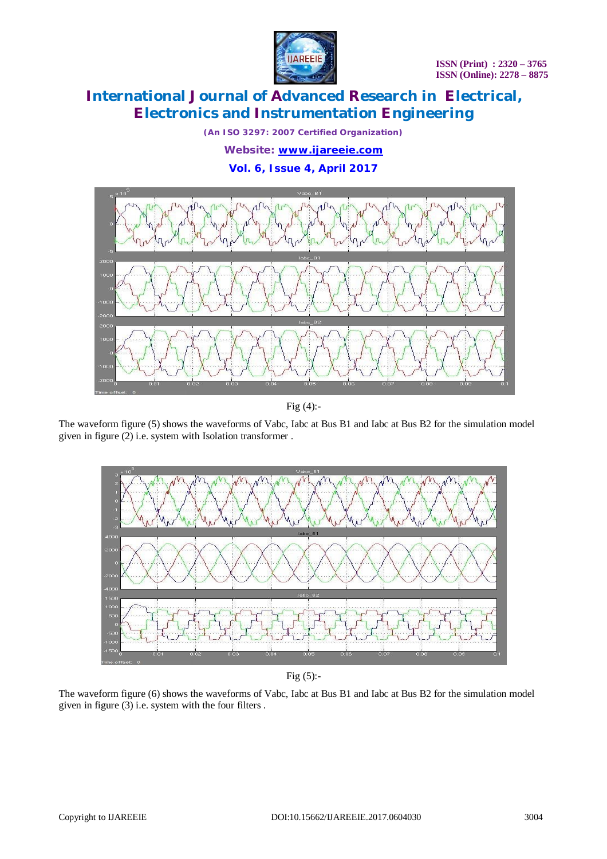

*(An ISO 3297: 2007 Certified Organization) Website: [www.ijareeie.com](http://www.ijareeie.com)* **Vol. 6, Issue 4, April 2017**



Fig (4):-

The waveform figure (5) shows the waveforms of Vabc, Iabc at Bus B1 and Iabc at Bus B2 for the simulation model given in figure (2) i.e. system with Isolation transformer .



Fig  $(5)$ :-

The waveform figure (6) shows the waveforms of Vabc, Iabc at Bus B1 and Iabc at Bus B2 for the simulation model given in figure (3) i.e. system with the four filters .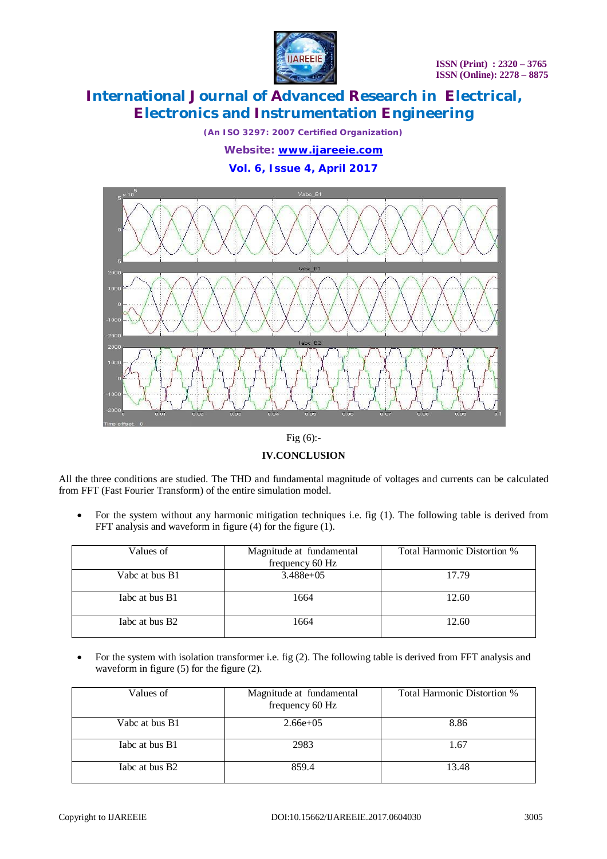

*(An ISO 3297: 2007 Certified Organization) Website: [www.ijareeie.com](http://www.ijareeie.com)* **Vol. 6, Issue 4, April 2017**



Fig (6):-

**IV.CONCLUSION**

All the three conditions are studied. The THD and fundamental magnitude of voltages and currents can be calculated from FFT (Fast Fourier Transform) of the entire simulation model.

• For the system without any harmonic mitigation techniques i.e. fig (1). The following table is derived from FFT analysis and waveform in figure (4) for the figure (1).

| Values of                  | Magnitude at fundamental<br>frequency 60 Hz | Total Harmonic Distortion % |
|----------------------------|---------------------------------------------|-----------------------------|
| Vabc at bus B1             | $3.488e+05$                                 | 17.79                       |
| Tabe at bus B1             | 1664                                        | 12.60                       |
| Tabc at bus B <sub>2</sub> | 1664                                        | 12.60                       |

• For the system with isolation transformer i.e. fig (2). The following table is derived from FFT analysis and waveform in figure (5) for the figure (2).

| Values of                  | Magnitude at fundamental<br>frequency 60 Hz | Total Harmonic Distortion % |
|----------------------------|---------------------------------------------|-----------------------------|
| Vabc at bus B1             | $2.66e+0.5$                                 | 8.86                        |
| Tabe at bus B1             | 2983                                        | 1.67                        |
| Tabe at bus B <sub>2</sub> | 859.4                                       | 13.48                       |